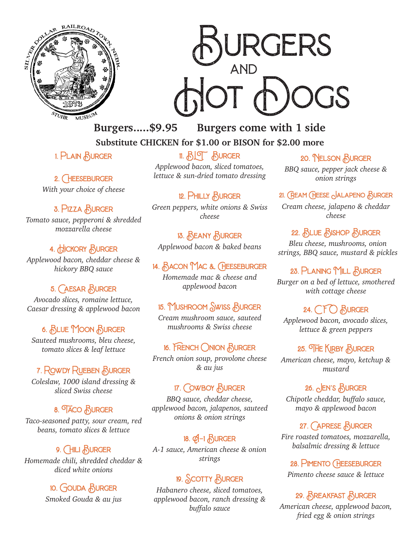



**Burgers.....\$9.95 Burgers come with 1 side Substitute CHICKEN for \$1.00 or BISON for \$2.00 more**

1. Plain Burger

2. CHEESEBURGER

*With your choice of cheese*

### 3. Pizza Burger

*Tomato sauce, pepperoni & shredded mozzarella cheese*

# 4. HICKORY BURGER

*Applewood bacon, cheddar cheese & hickory BBQ sauce*

### 5. CAESAR BURGER

*Avocado slices, romaine lettuce, Caesar dressing & applewood bacon*

### 6. Blue Moon Burger

*Sauteed mushrooms, bleu cheese, tomato slices & leaf lettuce*

# 7. Rowdy Rueben Burger

*Coleslaw, 1000 island dressing & sliced Swiss cheese*

# 8. TACO BURGER

*Taco-seasoned patty, sour cream, red beans, tomato slices & lettuce*

### 9. CHILI BURGER

*Homemade chili, shredded cheddar & diced white onions*

# 10. Gouda Burger

*Smoked Gouda & au jus*

# 11. BLT Burger

*Applewood bacon, sliced tomatoes, lettuce & sun-dried tomato dressing*

12. PHILLY BURGER *Green peppers, white onions & Swiss cheese*

# 13. Beany Burger

*Applewood bacon & baked beans*

#### 14. Bacon Mac & Cheeseburger

*Homemade mac & cheese and applewood bacon*

### 15. Mushroom Swiss Burger

*Cream mushroom sauce, sauteed mushrooms & Swiss cheese*

### 16. French Onion Burger

*French onion soup, provolone cheese & au jus*

### 17. COWBOY BURGER

*BBQ sauce, cheddar cheese, applewood bacon, jalapenos, sauteed onions & onion strings*

# $18.$   $\emptyset$ -1  $\bigwedge$  URGER

*A-1 sauce, American cheese & onion strings*

# 19. Scotty Burger

*Habanero cheese, sliced tomatoes, applewood bacon, ranch dressing & buffalo sauce*

#### 20. Nelson Burger

*BBQ sauce, pepper jack cheese & onion strings*

### 21. Cream Cheese Jalapeno Burger

*Cream cheese, jalapeno & cheddar cheese*

# 22. BLUE BISHOP BURGER

*Bleu cheese, mushrooms, onion strings, BBQ sauce, mustard & pickles*

### 23. PLANING MILL BURGER

*Burger on a bed of lettuce, smothered with cottage cheese*

# 24.  $CF()$  HURGER

*Applewood bacon, avocado slices, lettuce & green peppers*

### 25. THE KIRBY BURGER

*American cheese, mayo, ketchup & mustard*

### 26.  $\circ$  EN's  $\circ$  BURGER

*Chipotle cheddar, buffalo sauce, mayo & applewood bacon*

### 27. CAPRESE BURGER

*Fire roasted tomatoes, mozzarella, balsalmic dressing & lettuce*

#### 28. Pimento Cheeseburger

*Pimento cheese sauce & lettuce*

# 29. Breakfast Burger

*American cheese, applewood bacon, fried egg & onion strings*